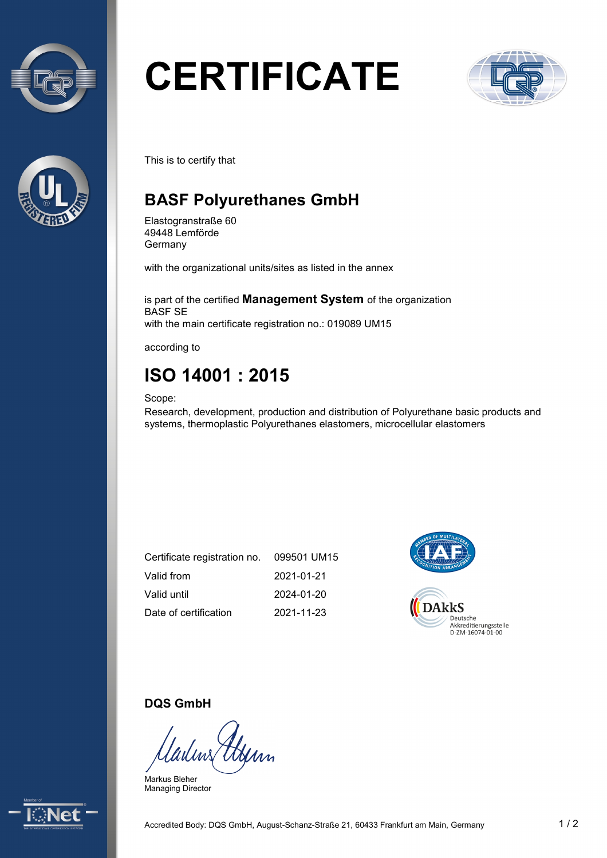



# **CERTIFICATE**



This is to certify that

## **BASF Polyurethanes GmbH**

Elastogranstraße 60 49448 Lemförde **Germany** 

with the organizational units/sites as listed in the annex

is part of the certified **Management System** of the organization BASF SE with the main certificate registration no.: 019089 UM15

according to

# **ISO 14001 : 2015**

Scope:

Research, development, production and distribution of Polyurethane basic products and systems, thermoplastic Polyurethanes elastomers, microcellular elastomers

| Certificate registration no. | 099501 UM15 |
|------------------------------|-------------|
| Valid from                   | 2021-01-21  |
| Valid until                  | 2024-01-20  |
| Date of certification        | 2021-11-23  |



#### **DQS GmbH**

Markus Bleher Managing Director